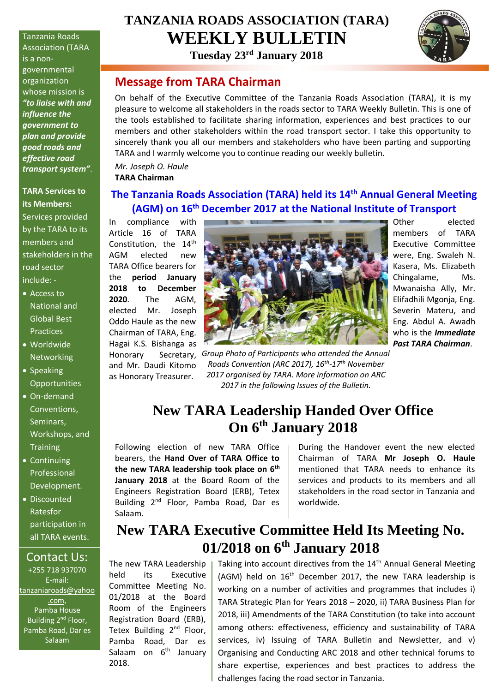Tanzania Roads Association (TARA is a nongovernmental organization whose mission is *"to liaise with and influence the government to plan and provide good roads and effective road transport system"*.

**TARA Services to its Members:** Services provided by the TARA to its members and stakeholders in the road sector include: -

- Access to National and Global Best **Practices**
- Worldwide **Networking**
- Speaking **Opportunities**
- On-demand Conventions, Seminars, Workshops, and **Training**
- Continuing Professional Development.
- Discounted Ratesfor participation in all TARA events.

#### Contact Us:

+255 718 937070 E-mail: [tanzaniaroads@yahoo](mailto:tanzaniaroads@yahoo.com) [.com,](mailto:tanzaniaroads@yahoo.com) Pamba House Building 2<sup>nd</sup> Floor, Pamba Road, Dar es Salaam

# **TANZANIA ROADS ASSOCIATION (TARA) WEEKLY BULLETIN**

**Tuesday 23rd January 2018**

### **Message from TARA Chairman**

On behalf of the Executive Committee of the Tanzania Roads Association (TARA), it is my pleasure to welcome all stakeholders in the roads sector to TARA Weekly Bulletin. This is one of the tools established to facilitate sharing information, experiences and best practices to our members and other stakeholders within the road transport sector. I take this opportunity to sincerely thank you all our members and stakeholders who have been parting and supporting TARA and I warmly welcome you to continue reading our weekly bulletin.

*Mr. Joseph O. Haule* **TARA Chairman**

### **The Tanzania Roads Association (TARA) held its 14th Annual General Meeting (AGM) on 16th December 2017 at the National Institute of Transport**

In compliance with Article 16 of TARA Constitution, the 14<sup>th</sup> AGM elected new TARA Office bearers for the **period January 2018 to December 2020**. The AGM, elected Mr. Joseph Oddo Haule as the new Chairman of TARA, Eng. Hagai K.S. Bishanga as and Mr. Daudi Kitomo as Honorary Treasurer.



Honorary Secretary, *Group Photo of Participants who attended the Annual Roads Convention (ARC 2017), 16 th -17 th November 2017 organised by TARA. More information on ARC 2017 in the following Issues of the Bulletin.*

Other elected members of TARA Executive Committee were, Eng. Swaleh N. Kasera, Ms. Elizabeth Chingalame, Ms. Mwanaisha Ally, Mr. Elifadhili Mgonja, Eng. Severin Materu, and Eng. Abdul A. Awadh who is the *Immediate Past TARA Chairman*.

### **New TARA Leadership Handed Over Office On 6 th January 2018**

Following election of new TARA Office bearers, the **Hand Over of TARA Office to the new TARA leadership took place on 6th January 2018** at the Board Room of the Engineers Registration Board (ERB), Tetex Building 2nd Floor, Pamba Road, Dar es Salaam.

During the Handover event the new elected Chairman of TARA **Mr Joseph O. Haule**  mentioned that TARA needs to enhance its services and products to its members and all stakeholders in the road sector in Tanzania and worldwide.

### **New TARA Executive Committee Held Its Meeting No. 01/2018 on 6th January 2018**

The new TARA Leadership held its Executive Committee Meeting No. 01/2018 at the Board Room of the Engineers Registration Board (ERB), Tetex Building 2<sup>nd</sup> Floor. Pamba Road, Dar es Salaam on 6<sup>th</sup> January 2018.

Taking into account directives from the  $14<sup>th</sup>$  Annual General Meeting (AGM) held on 16<sup>th</sup> December 2017, the new TARA leadership is working on a number of activities and programmes that includes i) TARA Strategic Plan for Years 2018 – 2020, ii) TARA Business Plan for 2018, iii) Amendments of the TARA Constitution (to take into account among others: effectiveness, efficiency and sustainability of TARA services, iv) Issuing of TARA Bulletin and Newsletter, and v) Organising and Conducting ARC 2018 and other technical forums to share expertise, experiences and best practices to address the challenges facing the road sector in Tanzania.